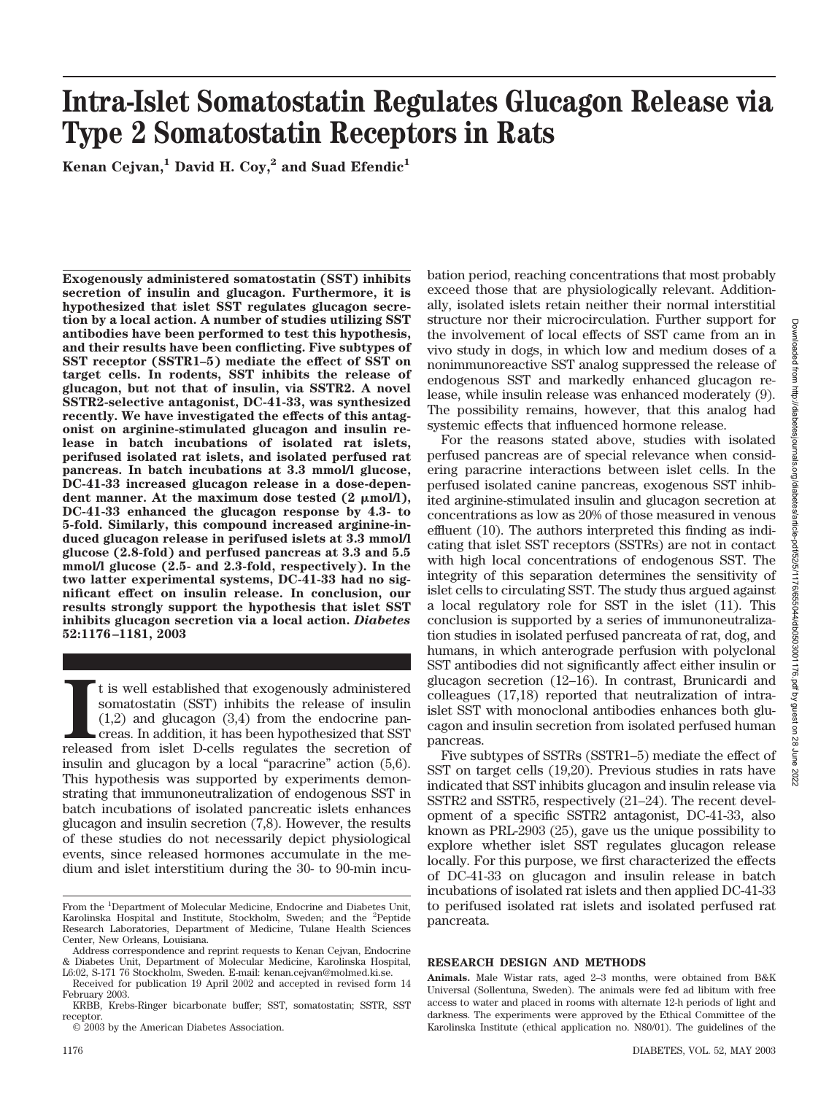# bation period, reaching concentrations that most probably exceed those that are physiologically relevant. Additionally, isolated islets retain neither their normal interstitial structure nor their microcirculation. Further support for the involvement of local effects of SST came from an in vivo study in dogs, in which low and medium doses of a nonimmunoreactive SST analog suppressed the release of endogenous SST and markedly enhanced glucagon release, while insulin release was enhanced moderately (9). The possibility remains, however, that this analog had For the reasons stated above, studies with isolated perfused pancreas are of special relevance when considering paracrine interactions between islet cells. In the perfused isolated canine pancreas, exogenous SST inhibited arginine-stimulated insulin and glucagon secretion at

Downloaded from http://diabetesjournals.org/diabetes/article-pdf/52/5/1176/655044/db0503001176.pdf by guest on 28 June 2022

t on 28

June 2022

Downloaded from http://diabetesjournals.org/diabetes/article-pdf/52/5/1176/655044/db0503001176.pdf by guest

# **Intra-Islet Somatostatin Regulates Glucagon Release via Type 2 Somatostatin Receptors in Rats**

Kenan Cejvan,<sup>1</sup> David H. Coy,<sup>2</sup> and Suad Efendic<sup>1</sup>

**Exogenously administered somatostatin (SST) inhibits secretion of insulin and glucagon. Furthermore, it is hypothesized that islet SST regulates glucagon secretion by a local action. A number of studies utilizing SST antibodies have been performed to test this hypothesis, and their results have been conflicting. Five subtypes of SST receptor (SSTR1–5) mediate the effect of SST on target cells. In rodents, SST inhibits the release of glucagon, but not that of insulin, via SSTR2. A novel SSTR2-selective antagonist, DC-41-33, was synthesized recently. We have investigated the effects of this antagonist on arginine-stimulated glucagon and insulin release in batch incubations of isolated rat islets, perifused isolated rat islets, and isolated perfused rat pancreas. In batch incubations at 3.3 mmol/l glucose, DC-41-33 increased glucagon release in a dose-depen**dent manner. At the maximum dose tested  $(2 \mu m o l/l)$ , **DC-41-33 enhanced the glucagon response by 4.3- to 5-fold. Similarly, this compound increased arginine-induced glucagon release in perifused islets at 3.3 mmol/l glucose (2.8-fold) and perfused pancreas at 3.3 and 5.5 mmol/l glucose (2.5- and 2.3-fold, respectively). In the two latter experimental systems, DC-41-33 had no significant effect on insulin release. In conclusion, our results strongly support the hypothesis that islet SST inhibits glucagon secretion via a local action.** *Diabetes* **52:1176–1181, 2003**

t is well established that exogenously administered somatostatin (SST) inhibits the release of insulin (1,2) and glucagon (3,4) from the endocrine pancreas. In addition, it has been hypothesized that SST released from isle t is well established that exogenously administered somatostatin (SST) inhibits the release of insulin (1,2) and glucagon (3,4) from the endocrine pancreas. In addition, it has been hypothesized that SST insulin and glucagon by a local "paracrine" action (5,6). This hypothesis was supported by experiments demonstrating that immunoneutralization of endogenous SST in batch incubations of isolated pancreatic islets enhances glucagon and insulin secretion (7,8). However, the results of these studies do not necessarily depict physiological events, since released hormones accumulate in the medium and islet interstitium during the 30- to 90-min incu-

© 2003 by the American Diabetes Association.

concentrations as low as 20% of those measured in venous effluent (10). The authors interpreted this finding as indicating that islet SST receptors (SSTRs) are not in contact with high local concentrations of endogenous SST. The integrity of this separation determines the sensitivity of islet cells to circulating SST. The study thus argued against

a local regulatory role for SST in the islet (11). This conclusion is supported by a series of immunoneutralization studies in isolated perfused pancreata of rat, dog, and humans, in which anterograde perfusion with polyclonal SST antibodies did not significantly affect either insulin or glucagon secretion (12–16). In contrast, Brunicardi and colleagues (17,18) reported that neutralization of intraislet SST with monoclonal antibodies enhances both glucagon and insulin secretion from isolated perfused human pancreas.

systemic effects that influenced hormone release.

Five subtypes of SSTRs (SSTR1–5) mediate the effect of SST on target cells (19,20). Previous studies in rats have indicated that SST inhibits glucagon and insulin release via SSTR2 and SSTR5, respectively (21–24). The recent development of a specific SSTR2 antagonist, DC-41-33, also known as PRL-2903 (25), gave us the unique possibility to explore whether islet SST regulates glucagon release locally. For this purpose, we first characterized the effects of DC-41-33 on glucagon and insulin release in batch incubations of isolated rat islets and then applied DC-41-33 to perifused isolated rat islets and isolated perfused rat pancreata.

# **RESEARCH DESIGN AND METHODS**

**Animals.** Male Wistar rats, aged 2–3 months, were obtained from B&K Universal (Sollentuna, Sweden). The animals were fed ad libitum with free access to water and placed in rooms with alternate 12-h periods of light and darkness. The experiments were approved by the Ethical Committee of the Karolinska Institute (ethical application no. N80/01). The guidelines of the

From the <sup>1</sup>Department of Molecular Medicine, Endocrine and Diabetes Unit, Karolinska Hospital and Institute, Stockholm, Sweden; and the <sup>2</sup>Peptide Research Laboratories, Department of Medicine, Tulane Health Sciences Center, New Orleans, Louisiana.

Address correspondence and reprint requests to Kenan Cejvan, Endocrine & Diabetes Unit, Department of Molecular Medicine, Karolinska Hospital, L6:02, S-171 76 Stockholm, Sweden. E-mail: kenan.cejvan@molmed.ki.se.

Received for publication 19 April 2002 and accepted in revised form 14 February 2003.

KRBB, Krebs-Ringer bicarbonate buffer; SST, somatostatin; SSTR, SST receptor.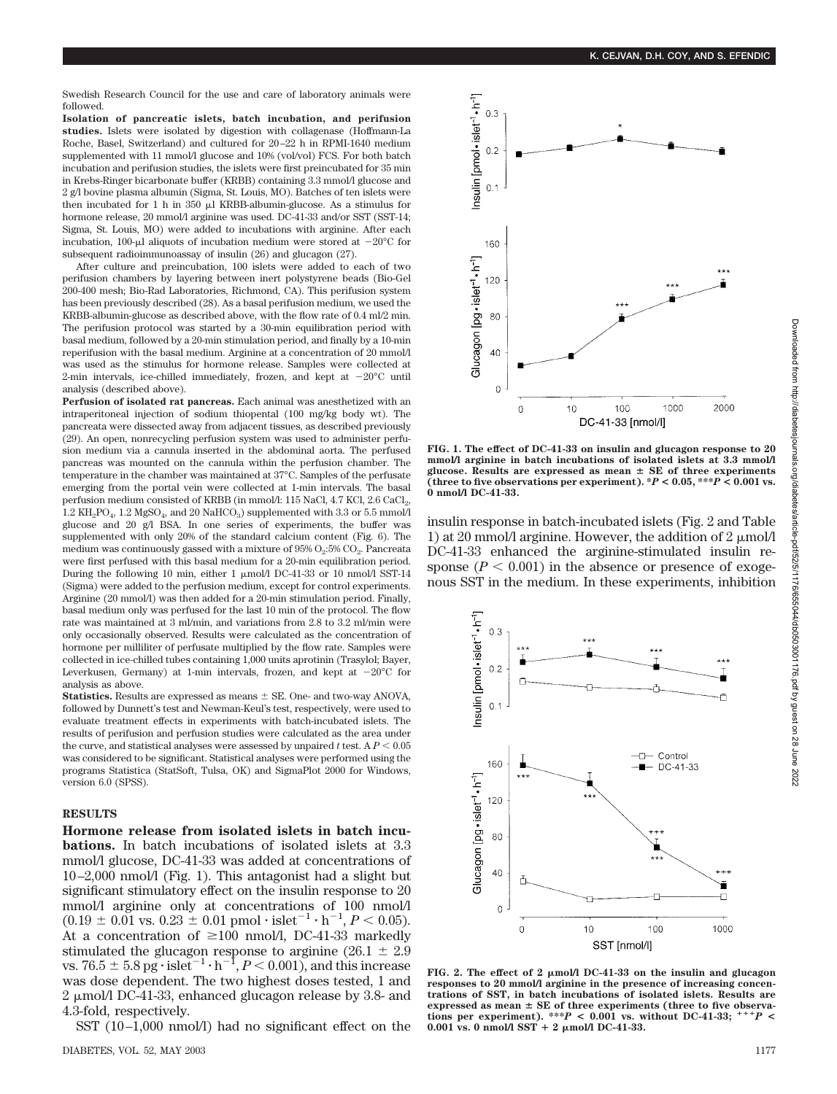Swedish Research Council for the use and care of laboratory animals were followed.

**Isolation of pancreatic islets, batch incubation, and perifusion studies.** Islets were isolated by digestion with collagenase (Hoffmann-La Roche, Basel, Switzerland) and cultured for 20–22 h in RPMI-1640 medium supplemented with 11 mmol/l glucose and 10% (vol/vol) FCS. For both batch incubation and perifusion studies, the islets were first preincubated for 35 min in Krebs-Ringer bicarbonate buffer (KRBB) containing 3.3 mmol/l glucose and 2 g/l bovine plasma albumin (Sigma, St. Louis, MO). Batches of ten islets were then incubated for 1 h in  $350$   $\mu$ l KRBB-albumin-glucose. As a stimulus for hormone release, 20 mmol/l arginine was used. DC-41-33 and/or SST (SST-14; Sigma, St. Louis, MO) were added to incubations with arginine. After each incubation, 100-µl aliquots of incubation medium were stored at  $-20^{\circ}$ C for subsequent radioimmunoassay of insulin (26) and glucagon (27).

After culture and preincubation, 100 islets were added to each of two perifusion chambers by layering between inert polystyrene beads (Bio-Gel 200-400 mesh; Bio-Rad Laboratories, Richmond, CA). This perifusion system has been previously described (28). As a basal perifusion medium, we used the KRBB-albumin-glucose as described above, with the flow rate of 0.4 ml/2 min. The perifusion protocol was started by a 30-min equilibration period with basal medium, followed by a 20-min stimulation period, and finally by a 10-min reperifusion with the basal medium. Arginine at a concentration of 20 mmol/l was used as the stimulus for hormone release. Samples were collected at 2-min intervals, ice-chilled immediately, frozen, and kept at  $-20^{\circ}$ C until analysis (described above).

**Perfusion of isolated rat pancreas.** Each animal was anesthetized with an intraperitoneal injection of sodium thiopental (100 mg/kg body wt). The pancreata were dissected away from adjacent tissues, as described previously (29). An open, nonrecycling perfusion system was used to administer perfusion medium via a cannula inserted in the abdominal aorta. The perfused pancreas was mounted on the cannula within the perfusion chamber. The temperature in the chamber was maintained at 37°C. Samples of the perfusate emerging from the portal vein were collected at 1-min intervals. The basal perfusion medium consisted of KRBB (in mmol/l: 115 NaCl, 4.7 KCl, 2.6 CaCl<sub>2</sub>,  $1.2 \text{ KH}_2PO_4$ ,  $1.2 \text{ MgSO}_4$ , and  $20 \text{ NaHCO}_3$ ) supplemented with 3.3 or 5.5 mmol/l glucose and 20 g/l BSA. In one series of experiments, the buffer was supplemented with only 20% of the standard calcium content (Fig. 6). The medium was continuously gassed with a mixture of  $95\%$   $O_2$ :5%  $CO_2$ . Pancreata were first perfused with this basal medium for a 20-min equilibration period. During the following 10 min, either 1  $\mu$ mol/l DC-41-33 or 10 nmol/l SST-14 (Sigma) were added to the perfusion medium, except for control experiments. Arginine (20 mmol/l) was then added for a 20-min stimulation period. Finally, basal medium only was perfused for the last 10 min of the protocol. The flow rate was maintained at 3 ml/min, and variations from 2.8 to 3.2 ml/min were only occasionally observed. Results were calculated as the concentration of hormone per milliliter of perfusate multiplied by the flow rate. Samples were collected in ice-chilled tubes containing 1,000 units aprotinin (Trasylol; Bayer, Leverkusen, Germany) at 1-min intervals, frozen, and kept at  $-20^{\circ}$ C for analysis as above.

**Statistics.** Results are expressed as means  $\pm$  SE. One- and two-way ANOVA, followed by Dunnett's test and Newman-Keul's test, respectively, were used to evaluate treatment effects in experiments with batch-incubated islets. The results of perifusion and perfusion studies were calculated as the area under the curve, and statistical analyses were assessed by unpaired  $t$  test. A  $P < 0.05$ was considered to be significant. Statistical analyses were performed using the programs Statistica (StatSoft, Tulsa, OK) and SigmaPlot 2000 for Windows, version 6.0 (SPSS).

#### **RESULTS**

**Hormone release from isolated islets in batch incubations.** In batch incubations of isolated islets at 3.3 mmol/l glucose, DC-41-33 was added at concentrations of 10–2,000 nmol/l (Fig. 1). This antagonist had a slight but significant stimulatory effect on the insulin response to 20 mmol/l arginine only at concentrations of 100 nmol/l  $(0.19 \pm 0.01 \text{ vs. } 0.23 \pm 0.01 \text{ pmol} \cdot \text{islet}^{-1} \cdot \text{h}^{-1}, P < 0.05).$ At a concentration of  $\geq 100$  nmol/l, DC-41-33 markedly stimulated the glucagon response to arginine (26.1  $\pm$  2.9) vs. 76.5  $\pm$  5.8 pg $\cdot$  islet<sup>-1</sup>  $\cdot$  h<sup>-1</sup>, *P* < 0.001), and this increase was dose dependent. The two highest doses tested, 1 and  $2 \mu$ mol/l DC-41-33, enhanced glucagon release by 3.8- and 4.3-fold, respectively.

SST (10–1,000 nmol/l) had no significant effect on the



**FIG. 1. The effect of DC-41-33 on insulin and glucagon response to 20 mmol/l arginine in batch incubations of isolated islets at 3.3 mmol/l** glucose. Results are expressed as mean  $\pm$  SE of three experiments (three to five observations per experiment).  $*P < 0.05$ ,  $**P < 0.001$  vs. **0 nmol/l DC-41-33.**

insulin response in batch-incubated islets (Fig. 2 and Table 1) at 20 mmol/l arginine. However, the addition of 2  $\mu$ mol/l DC-41-33 enhanced the arginine-stimulated insulin response ( $P < 0.001$ ) in the absence or presence of exogenous SST in the medium. In these experiments, inhibition



**FIG. 2. The effect of 2 mol/l DC-41-33 on the insulin and glucagon responses to 20 mmol/l arginine in the presence of increasing concentrations of SST, in batch incubations of isolated islets. Results are** expressed as mean  $\pm$  SE of three experiments (three to five observations per experiment). \*\*\**P* < 0.001 vs. without DC-41-33;  $^{+++}P$  <  $0.001$  vs. 0 nmol/l SST + 2  $\mu$ mol/l DC-41-33.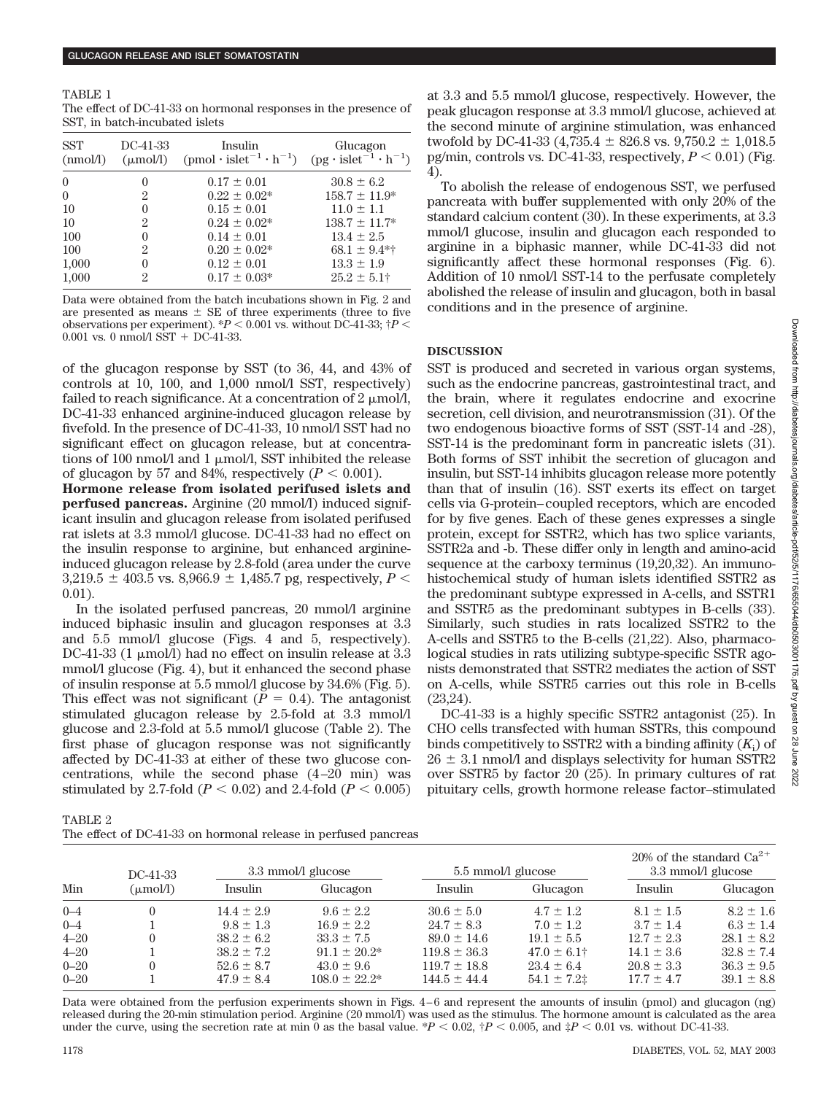TABLE 1 The effect of DC-41-33 on hormonal responses in the presence of SST, in batch-incubated islets

| <b>SST</b><br>(mmol/l) | DC-41-33<br>$(\mu \text{mol/l})$ | Insulin<br>$(pmol \cdot islet^{-1} \cdot h^{-1})$ | Glucagon<br>$(pg \cdot islet^{-1} \cdot h^{-1})$ |
|------------------------|----------------------------------|---------------------------------------------------|--------------------------------------------------|
| $\Omega$               | $\mathbf{0}$                     | $0.17 \pm 0.01$                                   | $30.8 \pm 6.2$                                   |
| $\theta$               | 2                                | $0.22 \pm 0.02*$                                  | $158.7 \pm 11.9*$                                |
| 10                     | $\theta$                         | $0.15 \pm 0.01$                                   | $11.0 \pm 1.1$                                   |
| 10                     | 2                                | $0.24 \pm 0.02*$                                  | $138.7 \pm 11.7^*$                               |
| 100                    | $\Omega$                         | $0.14 \pm 0.01$                                   | $13.4 \pm 2.5$                                   |
| 100                    | 2                                | $0.20 \pm 0.02*$                                  | $68.1 \pm 9.4$ *†                                |
| 1,000                  | $\theta$                         | $0.12 \pm 0.01$                                   | $13.3 \pm 1.9$                                   |
| 1,000                  | 2                                | $0.17 \pm 0.03*$                                  | $25.2 \pm 5.1$ †                                 |

Data were obtained from the batch incubations shown in Fig. 2 and are presented as means  $\pm$  SE of three experiments (three to five observations per experiment).  $P < 0.001$  vs. without DC-41-33;  $\dagger P <$ 0.001 vs. 0 nmol/l SST + DC-41-33.

of the glucagon response by SST (to 36, 44, and 43% of controls at 10, 100, and 1,000 nmol/l SST, respectively) failed to reach significance. At a concentration of 2  $\mu$ mol/l, DC-41-33 enhanced arginine-induced glucagon release by fivefold. In the presence of DC-41-33, 10 nmol/l SST had no significant effect on glucagon release, but at concentrations of 100 nmol/l and 1  $\mu$ mol/l, SST inhibited the release of glucagon by 57 and 84%, respectively  $(P < 0.001)$ .

**Hormone release from isolated perifused islets and perfused pancreas.** Arginine (20 mmol/l) induced significant insulin and glucagon release from isolated perifused rat islets at 3.3 mmol/l glucose. DC-41-33 had no effect on the insulin response to arginine, but enhanced arginineinduced glucagon release by 2.8-fold (area under the curve  $3,219.5 \pm 403.5$  vs.  $8,966.9 \pm 1,485.7$  pg, respectively,  $P \leq$ 0.01).

In the isolated perfused pancreas, 20 mmol/l arginine induced biphasic insulin and glucagon responses at 3.3 and 5.5 mmol/l glucose (Figs. 4 and 5, respectively). DC-41-33 (1 µmol/l) had no effect on insulin release at 3.3 mmol/l glucose (Fig. 4), but it enhanced the second phase of insulin response at 5.5 mmol/l glucose by 34.6% (Fig. 5). This effect was not significant  $(P = 0.4)$ . The antagonist stimulated glucagon release by 2.5-fold at 3.3 mmol/l glucose and 2.3-fold at 5.5 mmol/l glucose (Table 2). The first phase of glucagon response was not significantly affected by DC-41-33 at either of these two glucose concentrations, while the second phase (4–20 min) was stimulated by 2.7-fold  $(P < 0.02)$  and 2.4-fold  $(P < 0.005)$ 

| at 3.3 and 5.5 mmol/l glucose, respectively. However, the          |
|--------------------------------------------------------------------|
| peak glucagon response at 3.3 mmol/l glucose, achieved at          |
| the second minute of arginine stimulation, was enhanced            |
| twofold by DC-41-33 (4,735.4 $\pm$ 826.8 vs. 9,750.2 $\pm$ 1,018.5 |
| pg/min, controls vs. DC-41-33, respectively, $P < 0.01$ ) (Fig.    |
| 4).                                                                |

To abolish the release of endogenous SST, we perfused pancreata with buffer supplemented with only 20% of the standard calcium content (30). In these experiments, at 3.3 mmol/l glucose, insulin and glucagon each responded to arginine in a biphasic manner, while DC-41-33 did not significantly affect these hormonal responses (Fig. 6). Addition of 10 nmol/l SST-14 to the perfusate completely abolished the release of insulin and glucagon, both in basal conditions and in the presence of arginine.

# **DISCUSSION**

SST is produced and secreted in various organ systems, such as the endocrine pancreas, gastrointestinal tract, and the brain, where it regulates endocrine and exocrine secretion, cell division, and neurotransmission (31). Of the two endogenous bioactive forms of SST (SST-14 and -28), SST-14 is the predominant form in pancreatic islets (31). Both forms of SST inhibit the secretion of glucagon and insulin, but SST-14 inhibits glucagon release more potently than that of insulin (16). SST exerts its effect on target cells via G-protein–coupled receptors, which are encoded for by five genes. Each of these genes expresses a single protein, except for SSTR2, which has two splice variants, SSTR2a and -b. These differ only in length and amino-acid sequence at the carboxy terminus (19,20,32). An immunohistochemical study of human islets identified SSTR2 as the predominant subtype expressed in A-cells, and SSTR1 and SSTR5 as the predominant subtypes in B-cells (33). Similarly, such studies in rats localized SSTR2 to the A-cells and SSTR5 to the B-cells (21,22). Also, pharmacological studies in rats utilizing subtype-specific SSTR agonists demonstrated that SSTR2 mediates the action of SST on A-cells, while SSTR5 carries out this role in B-cells (23,24).

DC-41-33 is a highly specific SSTR2 antagonist (25). In CHO cells transfected with human SSTRs, this compound binds competitively to SSTR2 with a binding affinity  $(K_i)$  of  $26 \pm 3.1$  nmol/l and displays selectivity for human SSTR2 over SSTR5 by factor 20 (25). In primary cultures of rat pituitary cells, growth hormone release factor–stimulated

| . т.<br>.,<br>ⅎ |  |
|-----------------|--|
|-----------------|--|

The effect of DC-41-33 on hormonal release in perfused pancreas

| Min      | DC-41-33<br>$(\mu \text{mol/l})$ | 3.3 mmol/l glucose |                    | 5.5 mmol/l glucose |                  | 20% of the standard $Ca^{2+}$<br>3.3 mmol/l glucose |                |
|----------|----------------------------------|--------------------|--------------------|--------------------|------------------|-----------------------------------------------------|----------------|
|          |                                  | Insulin            | Glucagon           | Insulin            | Glucagon         | Insulin                                             | Glucagon       |
| $0 - 4$  |                                  | $14.4 \pm 2.9$     | $9.6 + 2.2$        | $30.6 \pm 5.0$     | $4.7 \pm 1.2$    | $8.1 \pm 1.5$                                       | $8.2 \pm 1.6$  |
| $0 - 4$  |                                  | $9.8 \pm 1.3$      | $16.9 \pm 2.2$     | $24.7 \pm 8.3$     | $7.0 \pm 1.2$    | $3.7 \pm 1.4$                                       | $6.3 \pm 1.4$  |
| $4 - 20$ |                                  | $38.2 \pm 6.2$     | $33.3 \pm 7.5$     | $89.0 \pm 14.6$    | $19.1 \pm 5.5$   | $12.7 \pm 2.3$                                      | $28.1 \pm 8.2$ |
| $4 - 20$ |                                  | $38.2 \pm 7.2$     | $91.1 \pm 20.2^*$  | $119.8 \pm 36.3$   | $47.0 \pm 6.1^+$ | $14.1 \pm 3.6$                                      | $32.8 \pm 7.4$ |
| $0 - 20$ |                                  | $52.6 \pm 8.7$     | $43.0 \pm 9.6$     | $119.7 \pm 18.8$   | $23.4 \pm 6.4$   | $20.8 \pm 3.3$                                      | $36.3 \pm 9.5$ |
| $0 - 20$ |                                  | $47.9 \pm 8.4$     | $108.0 \pm 22.2^*$ | $144.5 \pm 44.4$   | $54.1 \pm 7.2$   | $17.7 \pm 4.7$                                      | $39.1 \pm 8.8$ |

Data were obtained from the perfusion experiments shown in Figs. 4–6 and represent the amounts of insulin (pmol) and glucagon (ng) released during the 20-min stimulation period. Arginine (20 mmol/l) was used as the stimulus. The hormone amount is calculated as the area under the curve, using the secretion rate at min 0 as the basal value. \* $P < 0.02$ ,  $\frac{4}{7}P < 0.005$ , and  $\frac{4}{7}P < 0.01$  vs. without DC-41-33.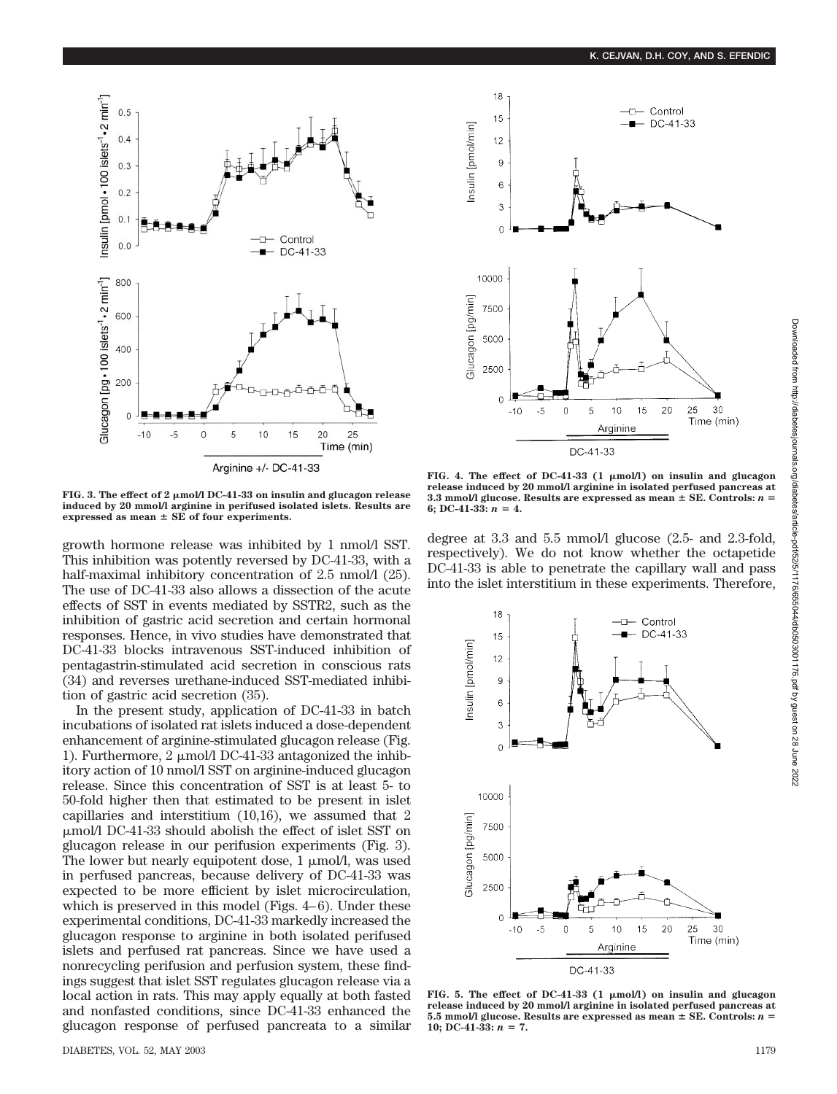

**FIG. 3. The effect of 2 mol/l DC-41-33 on insulin and glucagon release induced by 20 mmol/l arginine in perifused isolated islets. Results are**  $ext{expressed}$  as mean  $\pm$  SE of four experiments.

growth hormone release was inhibited by 1 nmol/l SST. This inhibition was potently reversed by DC-41-33, with a half-maximal inhibitory concentration of 2.5 nmol/l (25). The use of DC-41-33 also allows a dissection of the acute effects of SST in events mediated by SSTR2, such as the inhibition of gastric acid secretion and certain hormonal responses. Hence, in vivo studies have demonstrated that DC-41-33 blocks intravenous SST-induced inhibition of pentagastrin-stimulated acid secretion in conscious rats (34) and reverses urethane-induced SST-mediated inhibition of gastric acid secretion (35).

In the present study, application of DC-41-33 in batch incubations of isolated rat islets induced a dose-dependent enhancement of arginine-stimulated glucagon release (Fig. 1). Furthermore, 2  $\mu$ mol/l DC-41-33 antagonized the inhibitory action of 10 nmol/l SST on arginine-induced glucagon release. Since this concentration of SST is at least 5- to 50-fold higher then that estimated to be present in islet capillaries and interstitium (10,16), we assumed that 2 mol/l DC-41-33 should abolish the effect of islet SST on glucagon release in our perifusion experiments (Fig. 3). The lower but nearly equipotent dose,  $1 \mu \text{mol/l}$ , was used in perfused pancreas, because delivery of DC-41-33 was expected to be more efficient by islet microcirculation, which is preserved in this model (Figs. 4–6). Under these experimental conditions, DC-41-33 markedly increased the glucagon response to arginine in both isolated perifused islets and perfused rat pancreas. Since we have used a nonrecycling perifusion and perfusion system, these findings suggest that islet SST regulates glucagon release via a local action in rats. This may apply equally at both fasted and nonfasted conditions, since DC-41-33 enhanced the glucagon response of perfused pancreata to a similar



**FIG. 4. The effect of DC-41-33 (1 mol/l) on insulin and glucagon release induced by 20 mmol/l arginine in isolated perfused pancreas at**  $3.3$  mmol/l glucose. Results are expressed as mean  $\pm$  SE. Controls:  $n =$ 6: DC-41-33:  $n = 4$ .

degree at 3.3 and 5.5 mmol/l glucose (2.5- and 2.3-fold, respectively). We do not know whether the octapetide DC-41-33 is able to penetrate the capillary wall and pass into the islet interstitium in these experiments. Therefore,



FIG. 5. The effect of DC-41-33 (1  $\mu$ mol/l) on insulin and glucagon **release induced by 20 mmol/l arginine in isolated perfused pancreas at**  $5.5$  mmol/l glucose. Results are expressed as mean  $\pm$  SE. Controls:  $n =$ 10; DC-41-33:  $n = 7$ .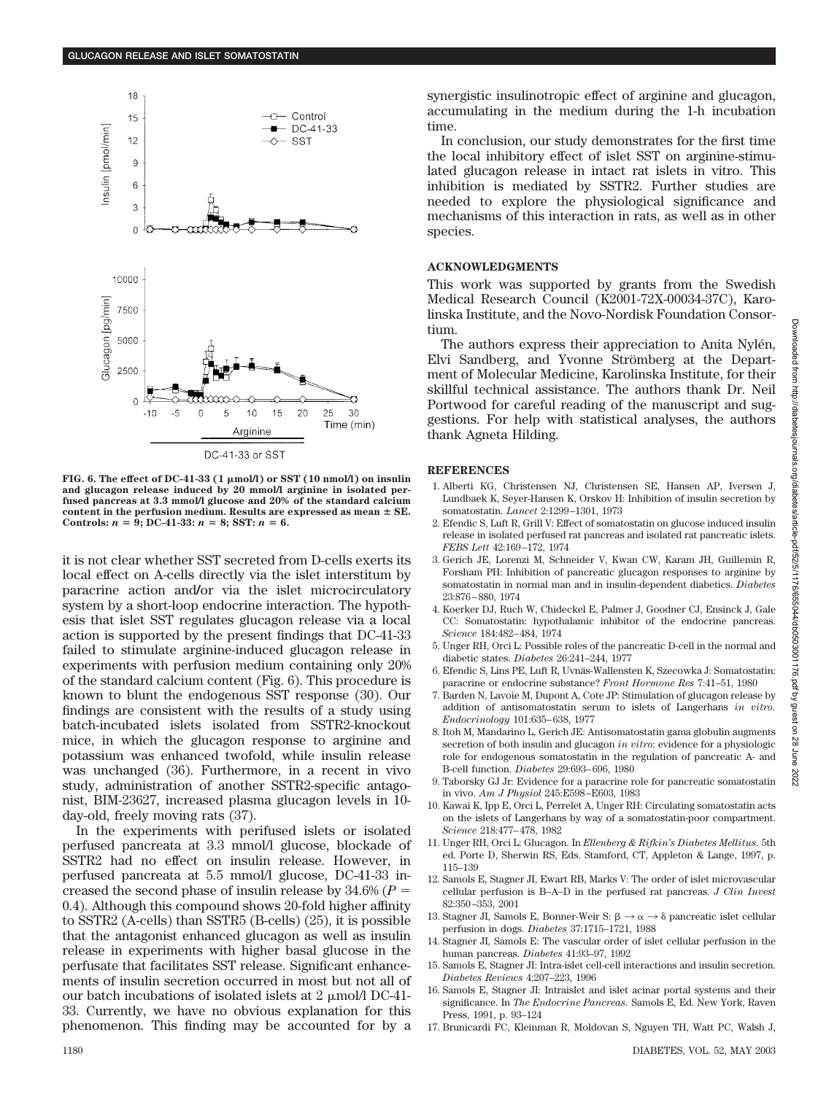

**FIG. 6. The effect of DC-41-33 (1 mol/l) or SST (10 nmol/l) on insulin and glucagon release induced by 20 mmol/l arginine in isolated perfused pancreas at 3.3 mmol/l glucose and 20% of the standard calcium** content in the perfusion medium. Results are expressed as mean  $\pm$  SE. **Controls:**  $n = 9$ ; DC-41-33:  $n = 8$ ; SST:  $n = 6$ .

it is not clear whether SST secreted from D-cells exerts its local effect on A-cells directly via the islet interstitum by paracrine action and**/**or via the islet microcirculatory system by a short-loop endocrine interaction. The hypothesis that islet SST regulates glucagon release via a local action is supported by the present findings that DC-41-33 failed to stimulate arginine-induced glucagon release in experiments with perfusion medium containing only 20% of the standard calcium content (Fig. 6). This procedure is known to blunt the endogenous SST response (30). Our findings are consistent with the results of a study using batch-incubated islets isolated from SSTR2-knockout mice, in which the glucagon response to arginine and potassium was enhanced twofold, while insulin release was unchanged (36). Furthermore, in a recent in vivo study, administration of another SSTR2-specific antagonist, BIM-23627, increased plasma glucagon levels in 10 day-old, freely moving rats (37).

In the experiments with perifused islets or isolated perfused pancreata at 3.3 mmol/l glucose, blockade of SSTR2 had no effect on insulin release. However, in perfused pancreata at 5.5 mmol/l glucose, DC-41-33 increased the second phase of insulin release by 34.6% (*P* 0.4). Although this compound shows 20-fold higher affinity to SSTR2 (A-cells) than SSTR5 (B-cells) (25), it is possible that the antagonist enhanced glucagon as well as insulin release in experiments with higher basal glucose in the perfusate that facilitates SST release. Significant enhancements of insulin secretion occurred in most but not all of our batch incubations of isolated islets at 2  $\mu$ mol/l DC-41-33. Currently, we have no obvious explanation for this phenomenon. This finding may be accounted for by a synergistic insulinotropic effect of arginine and glucagon, accumulating in the medium during the 1-h incubation time.

In conclusion, our study demonstrates for the first time the local inhibitory effect of islet SST on arginine-stimulated glucagon release in intact rat islets in vitro. This inhibition is mediated by SSTR2. Further studies are needed to explore the physiological significance and mechanisms of this interaction in rats, as well as in other species.

# **ACKNOWLEDGMENTS**

This work was supported by grants from the Swedish Medical Research Council (K2001-72X-00034-37C), Karolinska Institute, and the Novo-Nordisk Foundation Consortium.

The authors express their appreciation to Anita Nylén, Elvi Sandberg, and Yvonne Strömberg at the Department of Molecular Medicine, Karolinska Institute, for their skillful technical assistance. The authors thank Dr. Neil Portwood for careful reading of the manuscript and suggestions. For help with statistical analyses, the authors thank Agneta Hilding.

# **REFERENCES**

- 1. Alberti KG, Christensen NJ, Christensen SE, Hansen AP, Iversen J, Lundbaek K, Seyer-Hansen K, Orskov H: Inhibition of insulin secretion by somatostatin. *Lancet* 2:1299–1301, 1973
- 2. Efendic S, Luft R, Grill V: Effect of somatostatin on glucose induced insulin release in isolated perfused rat pancreas and isolated rat pancreatic islets. *FEBS Lett* 42:169–172, 1974
- 3. Gerich JE, Lorenzi M, Schneider V, Kwan CW, Karam JH, Guillemin R, Forsham PH: Inhibition of pancreatic glucagon responses to arginine by somatostatin in normal man and in insulin-dependent diabetics. *Diabetes* 23:876–880, 1974
- 4. Koerker DJ, Ruch W, Chideckel E, Palmer J, Goodner CJ, Ensinck J, Gale CC: Somatostatin: hypothalamic inhibitor of the endocrine pancreas. *Science* 184:482–484, 1974
- 5. Unger RH, Orci L: Possible roles of the pancreatic D-cell in the normal and diabetic states. *Diabetes* 26:241–244, 1977
- 6. Efendic S, Lins PE, Luft R, Uvnäs-Wallensten K, Szecowka J: Somatostatin: paracrine or endocrine substance? *Front Hormone Res* 7:41–51, 1980
- 7. Barden N, Lavoie M, Dupont A, Cote JP: Stimulation of glucagon release by addition of antisomatostatin serum to islets of Langerhans *in vitro. Endocrinology* 101:635–638, 1977
- 8. Itoh M, Mandarino L, Gerich JE: Antisomatostatin gama globulin augments secretion of both insulin and glucagon *in vitro*: evidence for a physiologic role for endogenous somatostatin in the regulation of pancreatic A- and B-cell function. *Diabetes* 29:693–696, 1980
- 9. Taborsky GJ Jr: Evidence for a paracrine role for pancreatic somatostatin in vivo. *Am J Physiol* 245:E598–E603, 1983
- 10. Kawai K, Ipp E, Orci L, Perrelet A, Unger RH: Circulating somatostatin acts on the islets of Langerhans by way of a somatostatin-poor compartment. *Science* 218:477–478, 1982
- 11. Unger RH, Orci L: Glucagon. In *Ellenberg & Rifkin's Diabetes Mellitus.* 5th ed. Porte D, Sherwin RS, Eds. Stamford, CT, Appleton & Lange, 1997, p. 115–139
- 12. Samols E, Stagner JI, Ewart RB, Marks V: The order of islet microvascular cellular perfusion is B–A–D in the perfused rat pancreas. *J Clin Invest* 82:350–353, 2001
- 13. Stagner JI, Samols E, Bonner-Weir S:  $\beta \rightarrow \alpha \rightarrow \delta$  pancreatic islet cellular perfusion in dogs. *Diabetes* 37:1715–1721, 1988
- 14. Stagner JI, Samols E: The vascular order of islet cellular perfusion in the human pancreas. *Diabetes* 41:93–97, 1992
- 15. Samols E, Stagner JI: Intra-islet cell-cell interactions and insulin secretion. *Diabetes Reviews* 4:207–223, 1996
- 16. Samols E, Stagner JI: Intraislet and islet acinar portal systems and their significance. In *The Endocrine Pancreas.* Samols E, Ed. New York, Raven Press, 1991, p. 93–124
- 17. Brunicardi FC, Kleinman R, Moldovan S, Nguyen TH, Watt PC, Walsh J,